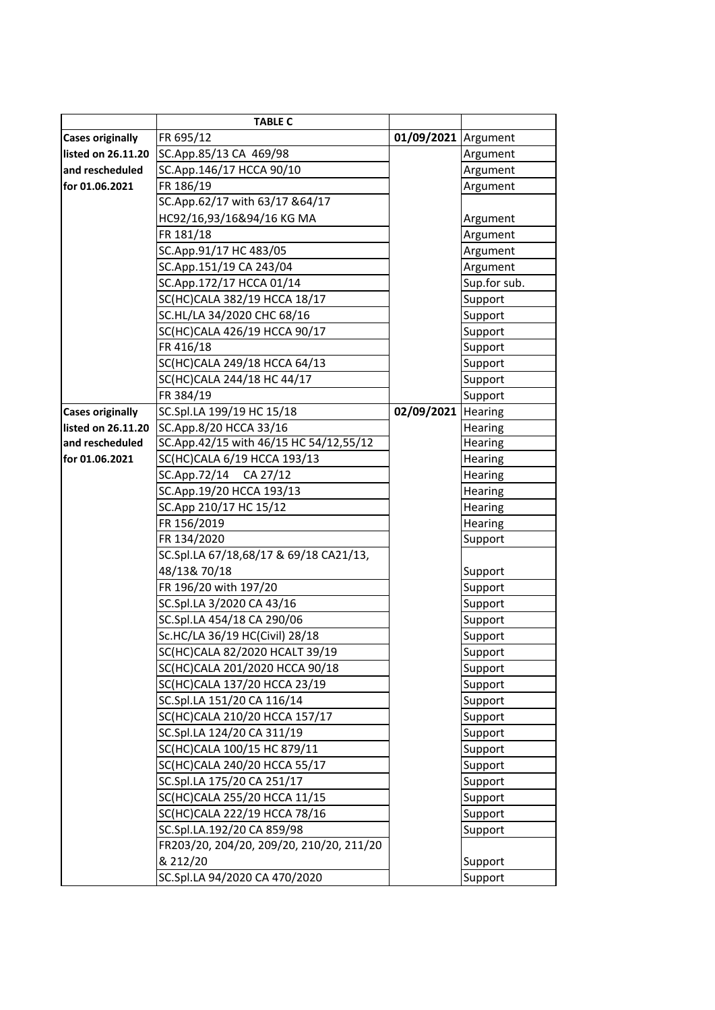|                         | <b>TABLE C</b>                           |                     |              |
|-------------------------|------------------------------------------|---------------------|--------------|
| <b>Cases originally</b> | FR 695/12                                | 01/09/2021 Argument |              |
| listed on 26.11.20      | SC.App.85/13 CA 469/98                   |                     | Argument     |
| and rescheduled         | SC.App.146/17 HCCA 90/10                 |                     | Argument     |
| for 01.06.2021          | FR 186/19                                |                     | Argument     |
|                         | SC.App.62/17 with 63/17 &64/17           |                     |              |
|                         | HC92/16,93/16&94/16 KG MA                |                     | Argument     |
|                         | FR 181/18                                |                     | Argument     |
|                         | SC.App.91/17 HC 483/05                   |                     | Argument     |
|                         | SC.App.151/19 CA 243/04                  |                     | Argument     |
|                         | SC.App.172/17 HCCA 01/14                 |                     | Sup.for sub. |
|                         | SC(HC)CALA 382/19 HCCA 18/17             |                     | Support      |
|                         | SC.HL/LA 34/2020 CHC 68/16               |                     | Support      |
|                         | SC(HC)CALA 426/19 HCCA 90/17             |                     | Support      |
|                         | FR 416/18                                |                     | Support      |
|                         | SC(HC)CALA 249/18 HCCA 64/13             |                     | Support      |
|                         | SC(HC)CALA 244/18 HC 44/17               |                     | Support      |
|                         | FR 384/19                                |                     | Support      |
| <b>Cases originally</b> | SC.Spl.LA 199/19 HC 15/18                | 02/09/2021 Hearing  |              |
| listed on 26.11.20      | SC.App.8/20 HCCA 33/16                   |                     | Hearing      |
| and rescheduled         | SC.App.42/15 with 46/15 HC 54/12,55/12   |                     | Hearing      |
| for 01.06.2021          | SC(HC)CALA 6/19 HCCA 193/13              |                     | Hearing      |
|                         | SC.App.72/14 CA 27/12                    |                     | Hearing      |
|                         | SC.App.19/20 HCCA 193/13                 |                     | Hearing      |
|                         | SC.App 210/17 HC 15/12                   |                     | Hearing      |
|                         | FR 156/2019                              |                     | Hearing      |
|                         | FR 134/2020                              |                     | Support      |
|                         | SC.Spl.LA 67/18,68/17 & 69/18 CA21/13,   |                     |              |
|                         | 48/13&70/18                              |                     | Support      |
|                         | FR 196/20 with 197/20                    |                     | Support      |
|                         | SC.Spl.LA 3/2020 CA 43/16                |                     | Support      |
|                         | SC.Spl.LA 454/18 CA 290/06               |                     | Support      |
|                         | Sc.HC/LA 36/19 HC(Civil) 28/18           |                     | Support      |
|                         | SC(HC)CALA 82/2020 HCALT 39/19           |                     | Support      |
|                         | SC(HC)CALA 201/2020 HCCA 90/18           |                     | Support      |
|                         | SC(HC)CALA 137/20 HCCA 23/19             |                     | Support      |
|                         | SC.Spl.LA 151/20 CA 116/14               |                     | Support      |
|                         | SC(HC)CALA 210/20 HCCA 157/17            |                     | Support      |
|                         | SC.Spl.LA 124/20 CA 311/19               |                     | Support      |
|                         | SC(HC)CALA 100/15 HC 879/11              |                     | Support      |
|                         | SC(HC)CALA 240/20 HCCA 55/17             |                     | Support      |
|                         | SC.Spl.LA 175/20 CA 251/17               |                     | Support      |
|                         | SC(HC)CALA 255/20 HCCA 11/15             |                     | Support      |
|                         | SC(HC)CALA 222/19 HCCA 78/16             |                     | Support      |
|                         | SC.Spl.LA.192/20 CA 859/98               |                     | Support      |
|                         | FR203/20, 204/20, 209/20, 210/20, 211/20 |                     |              |
|                         | & 212/20                                 |                     | Support      |
|                         | SC.Spl.LA 94/2020 CA 470/2020            |                     | Support      |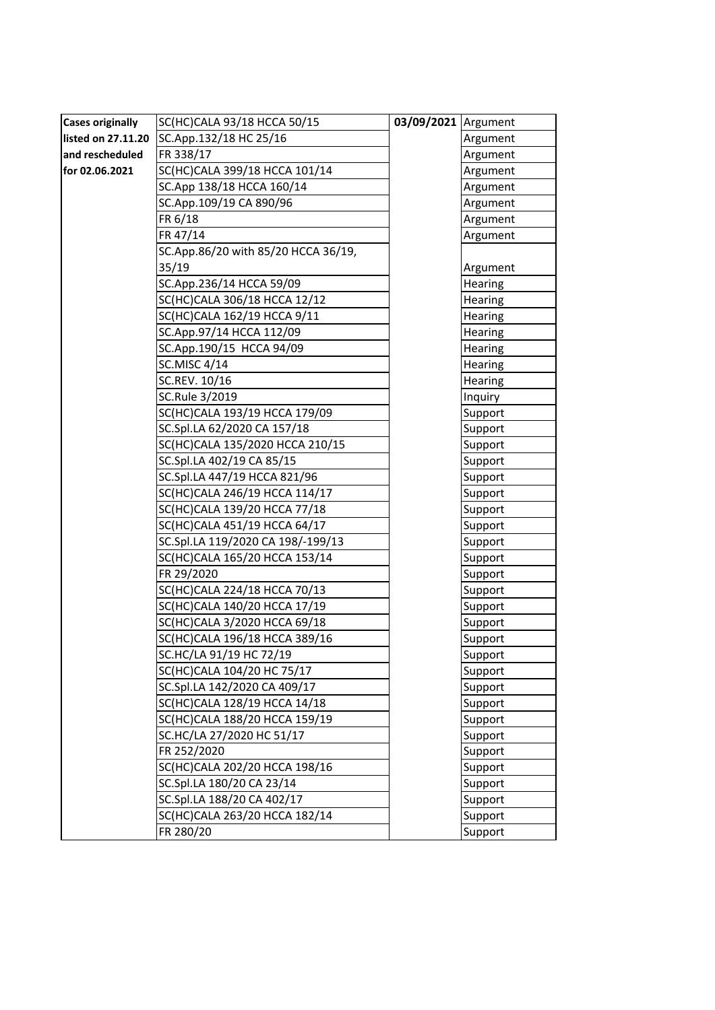| <b>Cases originally</b> | SC(HC)CALA 93/18 HCCA 50/15         | 03/09/2021 Argument |          |
|-------------------------|-------------------------------------|---------------------|----------|
| listed on 27.11.20      | SC.App.132/18 HC 25/16              |                     | Argument |
| and rescheduled         | FR 338/17                           |                     | Argument |
| for 02.06.2021          | SC(HC)CALA 399/18 HCCA 101/14       |                     | Argument |
|                         | SC.App 138/18 HCCA 160/14           |                     | Argument |
|                         | SC.App.109/19 CA 890/96             |                     | Argument |
|                         | FR 6/18                             |                     | Argument |
|                         | FR 47/14                            |                     | Argument |
|                         | SC.App.86/20 with 85/20 HCCA 36/19, |                     |          |
|                         | 35/19                               |                     | Argument |
|                         | SC.App.236/14 HCCA 59/09            |                     | Hearing  |
|                         | SC(HC)CALA 306/18 HCCA 12/12        |                     | Hearing  |
|                         | SC(HC)CALA 162/19 HCCA 9/11         |                     | Hearing  |
|                         | SC.App.97/14 HCCA 112/09            |                     | Hearing  |
|                         | SC.App.190/15 HCCA 94/09            |                     | Hearing  |
|                         | <b>SC.MISC 4/14</b>                 |                     | Hearing  |
|                         | SC.REV. 10/16                       |                     | Hearing  |
|                         | SC.Rule 3/2019                      |                     | Inquiry  |
|                         | SC(HC)CALA 193/19 HCCA 179/09       |                     | Support  |
|                         | SC.Spl.LA 62/2020 CA 157/18         |                     | Support  |
|                         | SC(HC)CALA 135/2020 HCCA 210/15     |                     | Support  |
|                         | SC.Spl.LA 402/19 CA 85/15           |                     | Support  |
|                         | SC.Spl.LA 447/19 HCCA 821/96        |                     | Support  |
|                         | SC(HC)CALA 246/19 HCCA 114/17       |                     | Support  |
|                         | SC(HC)CALA 139/20 HCCA 77/18        |                     | Support  |
|                         | SC(HC)CALA 451/19 HCCA 64/17        |                     | Support  |
|                         | SC.Spl.LA 119/2020 CA 198/-199/13   |                     | Support  |
|                         | SC(HC)CALA 165/20 HCCA 153/14       |                     | Support  |
|                         | FR 29/2020                          |                     | Support  |
|                         | SC(HC)CALA 224/18 HCCA 70/13        |                     | Support  |
|                         | SC(HC)CALA 140/20 HCCA 17/19        |                     | Support  |
|                         | SC(HC)CALA 3/2020 HCCA 69/18        |                     | Support  |
|                         | SC(HC)CALA 196/18 HCCA 389/16       |                     | Support  |
|                         | SC.HC/LA 91/19 HC 72/19             |                     | Support  |
|                         | SC(HC)CALA 104/20 HC 75/17          |                     | Support  |
|                         | SC.Spl.LA 142/2020 CA 409/17        |                     | Support  |
|                         | SC(HC)CALA 128/19 HCCA 14/18        |                     | Support  |
|                         | SC(HC)CALA 188/20 HCCA 159/19       |                     | Support  |
|                         | SC.HC/LA 27/2020 HC 51/17           |                     | Support  |
|                         | FR 252/2020                         |                     | Support  |
|                         | SC(HC)CALA 202/20 HCCA 198/16       |                     | Support  |
|                         | SC.Spl.LA 180/20 CA 23/14           |                     | Support  |
|                         | SC.Spl.LA 188/20 CA 402/17          |                     | Support  |
|                         | SC(HC)CALA 263/20 HCCA 182/14       |                     | Support  |
|                         | FR 280/20                           |                     | Support  |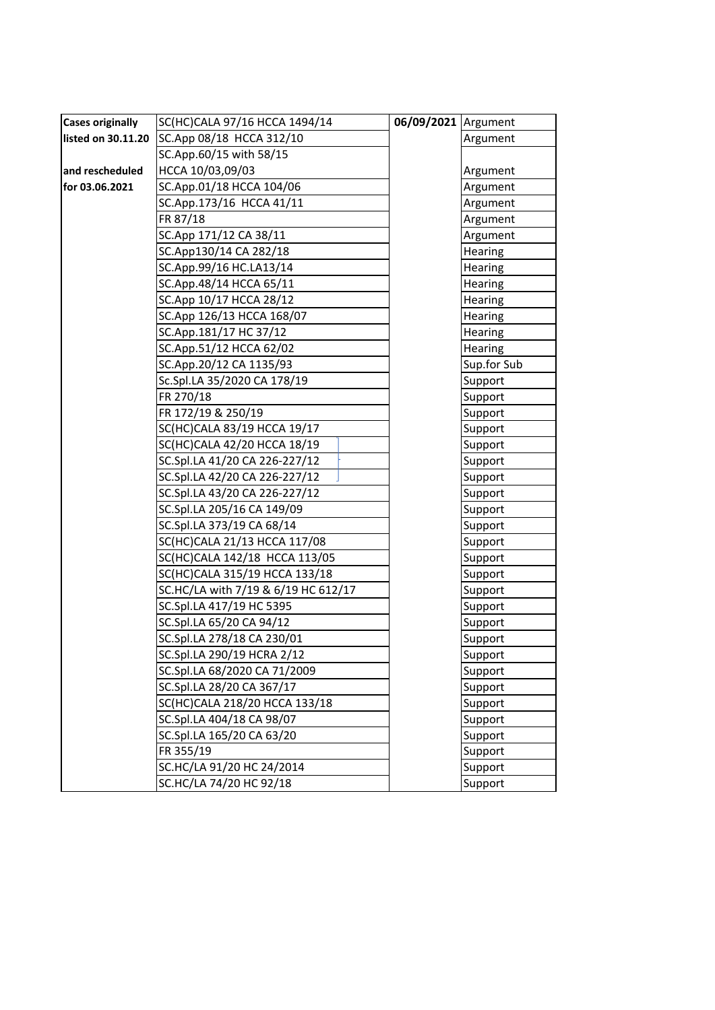| <b>Cases originally</b> | SC(HC)CALA 97/16 HCCA 1494/14       | 06/09/2021   Argument |                |
|-------------------------|-------------------------------------|-----------------------|----------------|
| listed on 30.11.20      | SC.App 08/18 HCCA 312/10            |                       | Argument       |
|                         | SC.App.60/15 with 58/15             |                       |                |
| and rescheduled         | HCCA 10/03,09/03                    |                       | Argument       |
| for 03.06.2021          | SC.App.01/18 HCCA 104/06            |                       | Argument       |
|                         | SC.App.173/16 HCCA 41/11            |                       | Argument       |
|                         | FR 87/18                            |                       | Argument       |
|                         | SC.App 171/12 CA 38/11              |                       | Argument       |
|                         | SC.App130/14 CA 282/18              |                       | Hearing        |
|                         | SC.App.99/16 HC.LA13/14             |                       | Hearing        |
|                         | SC.App.48/14 HCCA 65/11             |                       | Hearing        |
|                         | SC.App 10/17 HCCA 28/12             |                       | <b>Hearing</b> |
|                         | SC.App 126/13 HCCA 168/07           |                       | Hearing        |
|                         | SC.App.181/17 HC 37/12              |                       | Hearing        |
|                         | SC.App.51/12 HCCA 62/02             |                       | Hearing        |
|                         | SC.App.20/12 CA 1135/93             |                       | Sup.for Sub    |
|                         | Sc.Spl.LA 35/2020 CA 178/19         |                       | Support        |
|                         | FR 270/18                           |                       | Support        |
|                         | FR 172/19 & 250/19                  |                       | Support        |
|                         | SC(HC)CALA 83/19 HCCA 19/17         |                       | Support        |
|                         | SC(HC)CALA 42/20 HCCA 18/19         |                       | Support        |
|                         | SC.Spl.LA 41/20 CA 226-227/12       |                       | Support        |
|                         | SC.Spl.LA 42/20 CA 226-227/12       |                       | Support        |
|                         | SC.Spl.LA 43/20 CA 226-227/12       |                       | Support        |
|                         | SC.Spl.LA 205/16 CA 149/09          |                       | Support        |
|                         | SC.Spl.LA 373/19 CA 68/14           |                       | Support        |
|                         | SC(HC)CALA 21/13 HCCA 117/08        |                       | Support        |
|                         | SC(HC)CALA 142/18 HCCA 113/05       |                       | Support        |
|                         | SC(HC)CALA 315/19 HCCA 133/18       |                       | Support        |
|                         | SC.HC/LA with 7/19 & 6/19 HC 612/17 |                       | Support        |
|                         | SC.Spl.LA 417/19 HC 5395            |                       | Support        |
|                         | SC.Spl.LA 65/20 CA 94/12            |                       | Support        |
|                         | SC.Spl.LA 278/18 CA 230/01          |                       | Support        |
|                         | SC.Spl.LA 290/19 HCRA 2/12          |                       | Support        |
|                         | SC.Spl.LA 68/2020 CA 71/2009        |                       | Support        |
|                         | SC.Spl.LA 28/20 CA 367/17           |                       | Support        |
|                         | SC(HC)CALA 218/20 HCCA 133/18       |                       | Support        |
|                         | SC.Spl.LA 404/18 CA 98/07           |                       | Support        |
|                         | SC.Spl.LA 165/20 CA 63/20           |                       | Support        |
|                         | FR 355/19                           |                       | Support        |
|                         | SC.HC/LA 91/20 HC 24/2014           |                       | Support        |
|                         | SC.HC/LA 74/20 HC 92/18             |                       | Support        |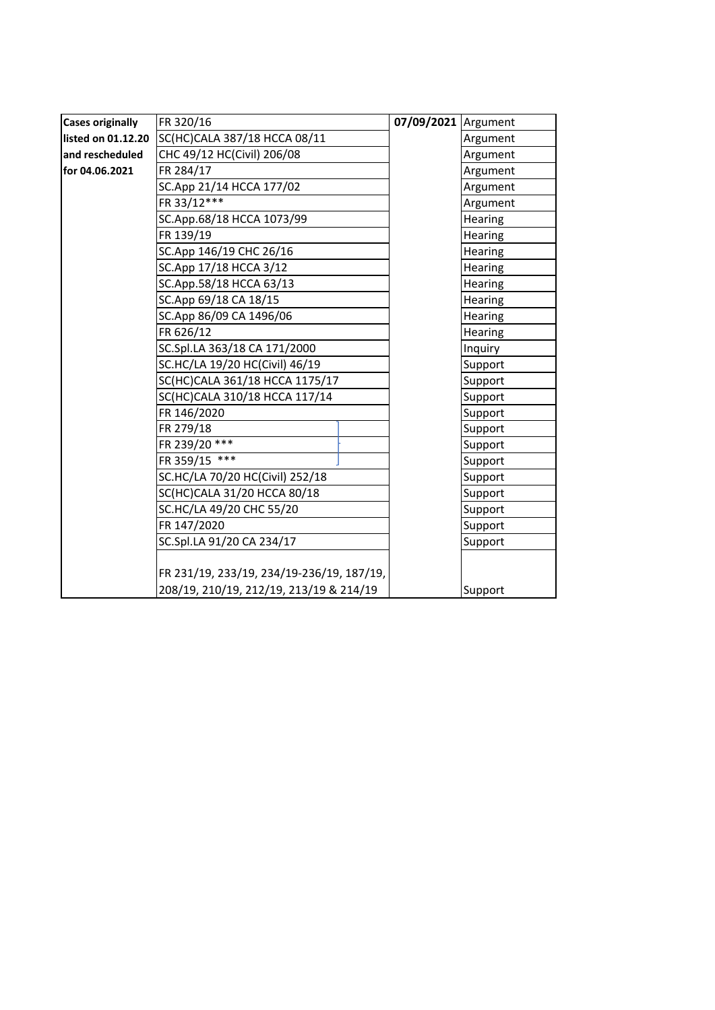| <b>Cases originally</b> | FR 320/16                                 | 07/09/2021 Argument |          |
|-------------------------|-------------------------------------------|---------------------|----------|
| listed on 01.12.20      | SC(HC)CALA 387/18 HCCA 08/11              |                     | Argument |
| and rescheduled         | CHC 49/12 HC(Civil) 206/08                |                     | Argument |
| for 04.06.2021          | FR 284/17                                 |                     | Argument |
|                         | SC.App 21/14 HCCA 177/02                  |                     | Argument |
|                         | FR 33/12***                               |                     | Argument |
|                         | SC.App.68/18 HCCA 1073/99                 |                     | Hearing  |
|                         | FR 139/19                                 |                     | Hearing  |
|                         | SC.App 146/19 CHC 26/16                   |                     | Hearing  |
|                         | SC.App 17/18 HCCA 3/12                    |                     | Hearing  |
|                         | SC.App.58/18 HCCA 63/13                   |                     | Hearing  |
|                         | SC.App 69/18 CA 18/15                     |                     | Hearing  |
|                         | SC.App 86/09 CA 1496/06                   |                     | Hearing  |
|                         | FR 626/12                                 |                     | Hearing  |
|                         | SC.Spl.LA 363/18 CA 171/2000              |                     | Inquiry  |
|                         | SC.HC/LA 19/20 HC(Civil) 46/19            |                     | Support  |
|                         | SC(HC)CALA 361/18 HCCA 1175/17            |                     | Support  |
|                         | SC(HC)CALA 310/18 HCCA 117/14             |                     | Support  |
|                         | FR 146/2020                               |                     | Support  |
|                         | FR 279/18                                 |                     | Support  |
|                         | FR 239/20 ***                             |                     | Support  |
|                         | FR 359/15 ***                             |                     | Support  |
|                         | SC.HC/LA 70/20 HC(Civil) 252/18           |                     | Support  |
|                         | SC(HC)CALA 31/20 HCCA 80/18               |                     | Support  |
|                         | SC.HC/LA 49/20 CHC 55/20                  |                     | Support  |
|                         | FR 147/2020                               |                     | Support  |
|                         | SC.Spl.LA 91/20 CA 234/17                 |                     | Support  |
|                         | FR 231/19, 233/19, 234/19-236/19, 187/19, |                     |          |
|                         | 208/19, 210/19, 212/19, 213/19 & 214/19   |                     | Support  |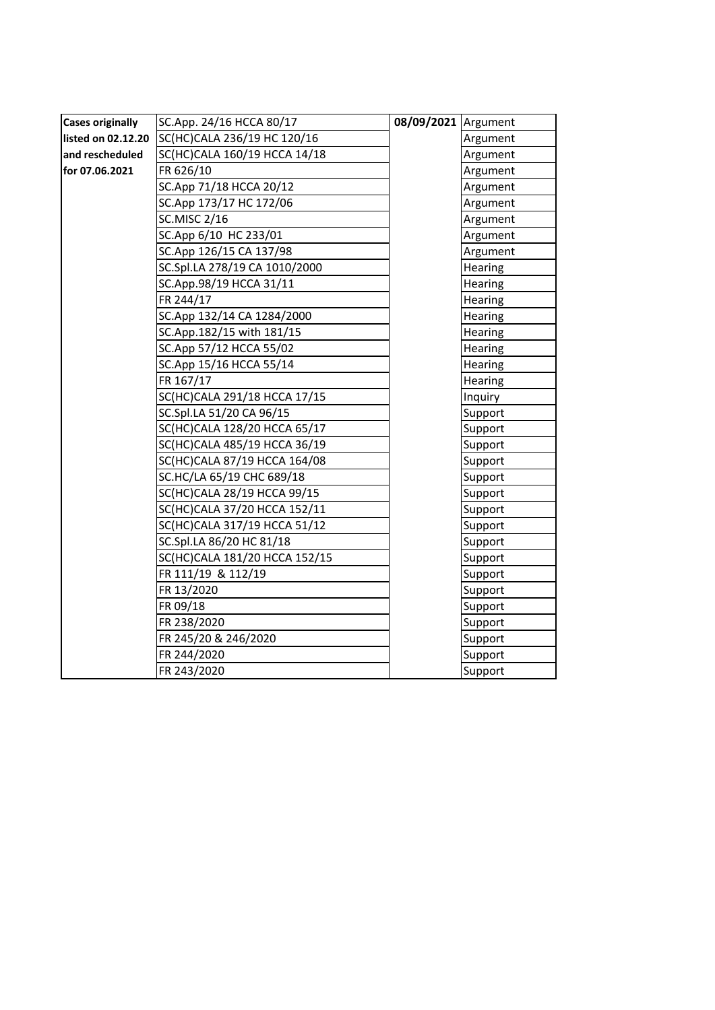| <b>Cases originally</b> | SC.App. 24/16 HCCA 80/17      | 08/09/2021 Argument |                |
|-------------------------|-------------------------------|---------------------|----------------|
| listed on 02.12.20      | SC(HC)CALA 236/19 HC 120/16   |                     | Argument       |
| and rescheduled         | SC(HC)CALA 160/19 HCCA 14/18  |                     | Argument       |
| for 07.06.2021          | FR 626/10                     |                     | Argument       |
|                         | SC.App 71/18 HCCA 20/12       |                     | Argument       |
|                         | SC.App 173/17 HC 172/06       |                     | Argument       |
|                         | <b>SC.MISC 2/16</b>           |                     | Argument       |
|                         | SC.App 6/10 HC 233/01         |                     | Argument       |
|                         | SC.App 126/15 CA 137/98       |                     | Argument       |
|                         | SC.Spl.LA 278/19 CA 1010/2000 |                     | Hearing        |
|                         | SC.App.98/19 HCCA 31/11       |                     | Hearing        |
|                         | FR 244/17                     |                     | Hearing        |
|                         | SC.App 132/14 CA 1284/2000    |                     | <b>Hearing</b> |
|                         | SC.App.182/15 with 181/15     |                     | Hearing        |
|                         | SC.App 57/12 HCCA 55/02       |                     | Hearing        |
|                         | SC.App 15/16 HCCA 55/14       |                     | <b>Hearing</b> |
|                         | FR 167/17                     |                     | Hearing        |
|                         | SC(HC)CALA 291/18 HCCA 17/15  |                     | Inquiry        |
|                         | SC.Spl.LA 51/20 CA 96/15      |                     | Support        |
|                         | SC(HC)CALA 128/20 HCCA 65/17  |                     | Support        |
|                         | SC(HC)CALA 485/19 HCCA 36/19  |                     | Support        |
|                         | SC(HC)CALA 87/19 HCCA 164/08  |                     | Support        |
|                         | SC.HC/LA 65/19 CHC 689/18     |                     | Support        |
|                         | SC(HC)CALA 28/19 HCCA 99/15   |                     | Support        |
|                         | SC(HC)CALA 37/20 HCCA 152/11  |                     | Support        |
|                         | SC(HC)CALA 317/19 HCCA 51/12  |                     | Support        |
|                         | SC.Spl.LA 86/20 HC 81/18      |                     | Support        |
|                         | SC(HC)CALA 181/20 HCCA 152/15 |                     | Support        |
|                         | FR 111/19 & 112/19            |                     | Support        |
|                         | FR 13/2020                    |                     | Support        |
|                         | FR 09/18                      |                     | Support        |
|                         | FR 238/2020                   |                     | Support        |
|                         | FR 245/20 & 246/2020          |                     | Support        |
|                         | FR 244/2020                   |                     | Support        |
|                         | FR 243/2020                   |                     | Support        |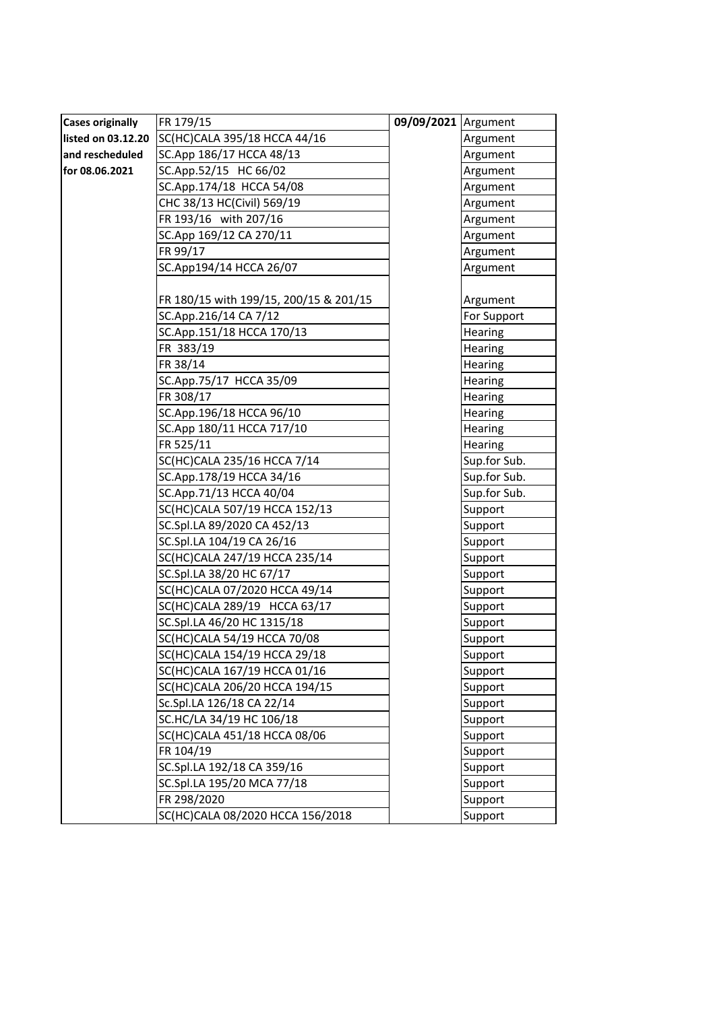| <b>Cases originally</b> | FR 179/15                              | 09/09/2021 Argument |                |
|-------------------------|----------------------------------------|---------------------|----------------|
| listed on 03.12.20      | SC(HC)CALA 395/18 HCCA 44/16           |                     | Argument       |
| and rescheduled         | SC.App 186/17 HCCA 48/13               |                     | Argument       |
| for 08.06.2021          | SC.App.52/15 HC 66/02                  |                     | Argument       |
|                         | SC.App.174/18 HCCA 54/08               |                     | Argument       |
|                         | CHC 38/13 HC(Civil) 569/19             |                     | Argument       |
|                         | FR 193/16 with 207/16                  |                     | Argument       |
|                         | SC.App 169/12 CA 270/11                |                     | Argument       |
|                         | FR 99/17                               |                     | Argument       |
|                         | SC.App194/14 HCCA 26/07                |                     | Argument       |
|                         |                                        |                     |                |
|                         | FR 180/15 with 199/15, 200/15 & 201/15 |                     | Argument       |
|                         | SC.App.216/14 CA 7/12                  |                     | For Support    |
|                         | SC.App.151/18 HCCA 170/13              |                     | Hearing        |
|                         | FR 383/19                              |                     | Hearing        |
|                         | FR 38/14                               |                     | <b>Hearing</b> |
|                         | SC.App.75/17 HCCA 35/09                |                     | <b>Hearing</b> |
|                         | FR 308/17                              |                     | <b>Hearing</b> |
|                         | SC.App.196/18 HCCA 96/10               |                     | <b>Hearing</b> |
|                         | SC.App 180/11 HCCA 717/10              |                     | <b>Hearing</b> |
|                         | FR 525/11                              |                     | Hearing        |
|                         | SC(HC)CALA 235/16 HCCA 7/14            |                     | Sup.for Sub.   |
|                         | SC.App.178/19 HCCA 34/16               |                     | Sup.for Sub.   |
|                         | SC.App.71/13 HCCA 40/04                |                     | Sup.for Sub.   |
|                         | SC(HC)CALA 507/19 HCCA 152/13          |                     | Support        |
|                         | SC.Spl.LA 89/2020 CA 452/13            |                     | Support        |
|                         | SC.Spl.LA 104/19 CA 26/16              |                     | Support        |
|                         | SC(HC)CALA 247/19 HCCA 235/14          |                     | Support        |
|                         | SC.Spl.LA 38/20 HC 67/17               |                     | Support        |
|                         | SC(HC)CALA 07/2020 HCCA 49/14          |                     | Support        |
|                         | SC(HC)CALA 289/19 HCCA 63/17           |                     | Support        |
|                         | SC.Spl.LA 46/20 HC 1315/18             |                     | Support        |
|                         | SC(HC)CALA 54/19 HCCA 70/08            |                     | Support        |
|                         | SC(HC)CALA 154/19 HCCA 29/18           |                     | Support        |
|                         | SC(HC)CALA 167/19 HCCA 01/16           |                     | Support        |
|                         | SC(HC)CALA 206/20 HCCA 194/15          |                     | Support        |
|                         | Sc.Spl.LA 126/18 CA 22/14              |                     | Support        |
|                         | SC.HC/LA 34/19 HC 106/18               |                     | Support        |
|                         | SC(HC)CALA 451/18 HCCA 08/06           |                     | Support        |
|                         | FR 104/19                              |                     | Support        |
|                         | SC.Spl.LA 192/18 CA 359/16             |                     | Support        |
|                         | SC.Spl.LA 195/20 MCA 77/18             |                     | Support        |
|                         | FR 298/2020                            |                     | Support        |
|                         | SC(HC)CALA 08/2020 HCCA 156/2018       |                     | Support        |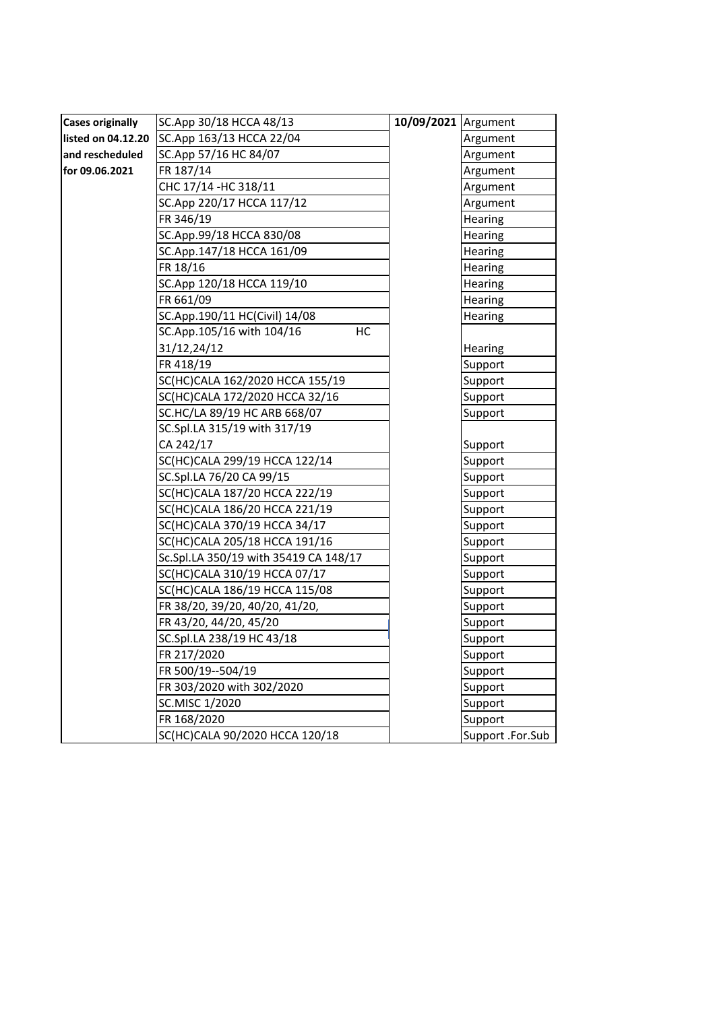| <b>Cases originally</b> | SC.App 30/18 HCCA 48/13               | 10/09/2021 Argument |                  |
|-------------------------|---------------------------------------|---------------------|------------------|
| listed on 04.12.20      | SC.App 163/13 HCCA 22/04              |                     | Argument         |
| and rescheduled         | SC.App 57/16 HC 84/07                 |                     | Argument         |
| for 09.06.2021          | FR 187/14                             |                     | Argument         |
|                         | CHC 17/14 - HC 318/11                 |                     | Argument         |
|                         | SC.App 220/17 HCCA 117/12             |                     | Argument         |
|                         | FR 346/19                             |                     | Hearing          |
|                         | SC.App.99/18 HCCA 830/08              |                     | Hearing          |
|                         | SC.App.147/18 HCCA 161/09             |                     | Hearing          |
|                         | FR 18/16                              |                     | Hearing          |
|                         | SC.App 120/18 HCCA 119/10             |                     | Hearing          |
|                         | FR 661/09                             |                     | <b>Hearing</b>   |
|                         | SC.App.190/11 HC(Civil) 14/08         |                     | Hearing          |
|                         | SC.App.105/16 with 104/16<br>HC       |                     |                  |
|                         | 31/12,24/12                           |                     | Hearing          |
|                         | FR 418/19                             |                     | Support          |
|                         | SC(HC)CALA 162/2020 HCCA 155/19       |                     | Support          |
|                         | SC(HC)CALA 172/2020 HCCA 32/16        |                     | Support          |
|                         | SC.HC/LA 89/19 HC ARB 668/07          |                     | Support          |
|                         | SC.Spl.LA 315/19 with 317/19          |                     |                  |
|                         | CA 242/17                             |                     | Support          |
|                         | SC(HC)CALA 299/19 HCCA 122/14         |                     | Support          |
|                         | SC.Spl.LA 76/20 CA 99/15              |                     | Support          |
|                         | SC(HC)CALA 187/20 HCCA 222/19         |                     | Support          |
|                         | SC(HC)CALA 186/20 HCCA 221/19         |                     | Support          |
|                         | SC(HC)CALA 370/19 HCCA 34/17          |                     | Support          |
|                         | SC(HC)CALA 205/18 HCCA 191/16         |                     | Support          |
|                         | Sc.Spl.LA 350/19 with 35419 CA 148/17 |                     | Support          |
|                         | SC(HC)CALA 310/19 HCCA 07/17          |                     | Support          |
|                         | SC(HC)CALA 186/19 HCCA 115/08         |                     | Support          |
|                         | FR 38/20, 39/20, 40/20, 41/20,        |                     | Support          |
|                         | FR 43/20, 44/20, 45/20                |                     | Support          |
|                         | SC.Spl.LA 238/19 HC 43/18             |                     | Support          |
|                         | FR 217/2020                           |                     | Support          |
|                         | FR 500/19--504/19                     |                     | Support          |
|                         | FR 303/2020 with 302/2020             |                     | Support          |
|                         | SC.MISC 1/2020                        |                     | Support          |
|                         | FR 168/2020                           |                     | Support          |
|                         | SC(HC)CALA 90/2020 HCCA 120/18        |                     | Support .For.Sub |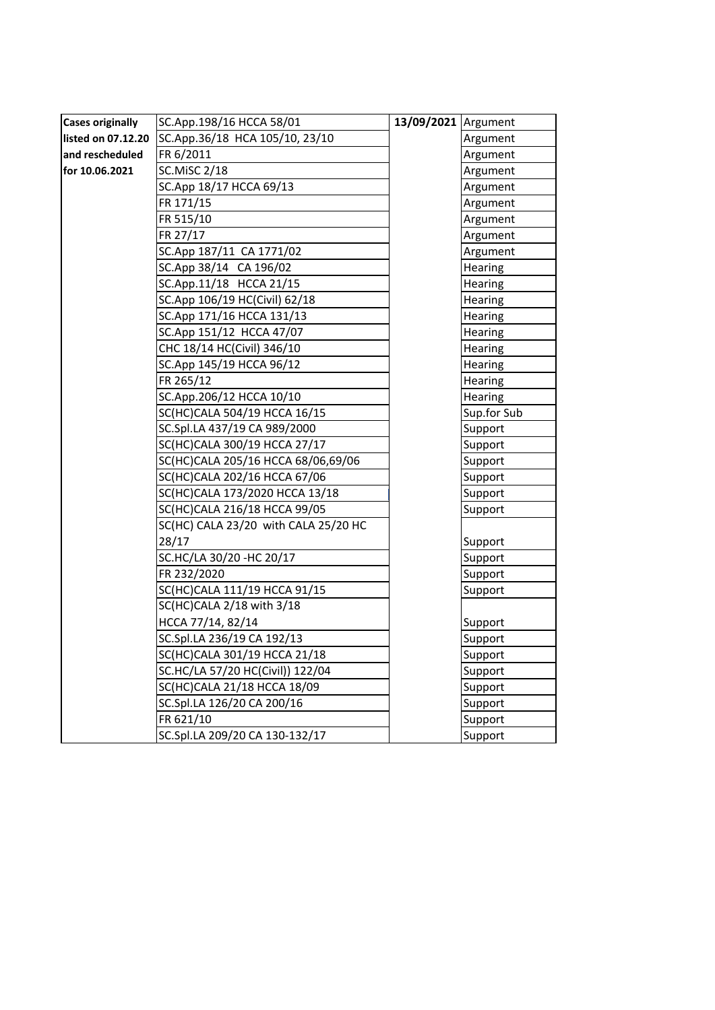| <b>Cases originally</b> | SC.App.198/16 HCCA 58/01             | 13/09/2021 Argument |             |
|-------------------------|--------------------------------------|---------------------|-------------|
| listed on 07.12.20      | SC.App.36/18 HCA 105/10, 23/10       |                     | Argument    |
| and rescheduled         | FR 6/2011                            |                     | Argument    |
| for 10.06.2021          | <b>SC.MISC 2/18</b>                  |                     | Argument    |
|                         | SC.App 18/17 HCCA 69/13              |                     | Argument    |
|                         | FR 171/15                            |                     | Argument    |
|                         | FR 515/10                            |                     | Argument    |
|                         | FR 27/17                             |                     | Argument    |
|                         | SC.App 187/11 CA 1771/02             |                     | Argument    |
|                         | SC.App 38/14 CA 196/02               |                     | Hearing     |
|                         | SC.App.11/18 HCCA 21/15              |                     | Hearing     |
|                         | SC.App 106/19 HC(Civil) 62/18        |                     | Hearing     |
|                         | SC.App 171/16 HCCA 131/13            |                     | Hearing     |
|                         | SC.App 151/12 HCCA 47/07             |                     | Hearing     |
|                         | CHC 18/14 HC(Civil) 346/10           |                     | Hearing     |
|                         | SC.App 145/19 HCCA 96/12             |                     | Hearing     |
|                         | FR 265/12                            |                     | Hearing     |
|                         | SC.App.206/12 HCCA 10/10             |                     | Hearing     |
|                         | SC(HC)CALA 504/19 HCCA 16/15         |                     | Sup.for Sub |
|                         | SC.Spl.LA 437/19 CA 989/2000         |                     | Support     |
|                         | SC(HC)CALA 300/19 HCCA 27/17         |                     | Support     |
|                         | SC(HC)CALA 205/16 HCCA 68/06,69/06   |                     | Support     |
|                         | SC(HC)CALA 202/16 HCCA 67/06         |                     | Support     |
|                         | SC(HC)CALA 173/2020 HCCA 13/18       |                     | Support     |
|                         | SC(HC)CALA 216/18 HCCA 99/05         |                     | Support     |
|                         | SC(HC) CALA 23/20 with CALA 25/20 HC |                     |             |
|                         | 28/17                                |                     | Support     |
|                         | SC.HC/LA 30/20 - HC 20/17            |                     | Support     |
|                         | FR 232/2020                          |                     | Support     |
|                         | SC(HC)CALA 111/19 HCCA 91/15         |                     | Support     |
|                         | SC(HC)CALA 2/18 with 3/18            |                     |             |
|                         | HCCA 77/14, 82/14                    |                     | Support     |
|                         | SC.Spl.LA 236/19 CA 192/13           |                     | Support     |
|                         | SC(HC)CALA 301/19 HCCA 21/18         |                     | Support     |
|                         | SC.HC/LA 57/20 HC(Civil)) 122/04     |                     | Support     |
|                         | SC(HC)CALA 21/18 HCCA 18/09          |                     | Support     |
|                         | SC.Spl.LA 126/20 CA 200/16           |                     | Support     |
|                         | FR 621/10                            |                     | Support     |
|                         | SC.Spl.LA 209/20 CA 130-132/17       |                     | Support     |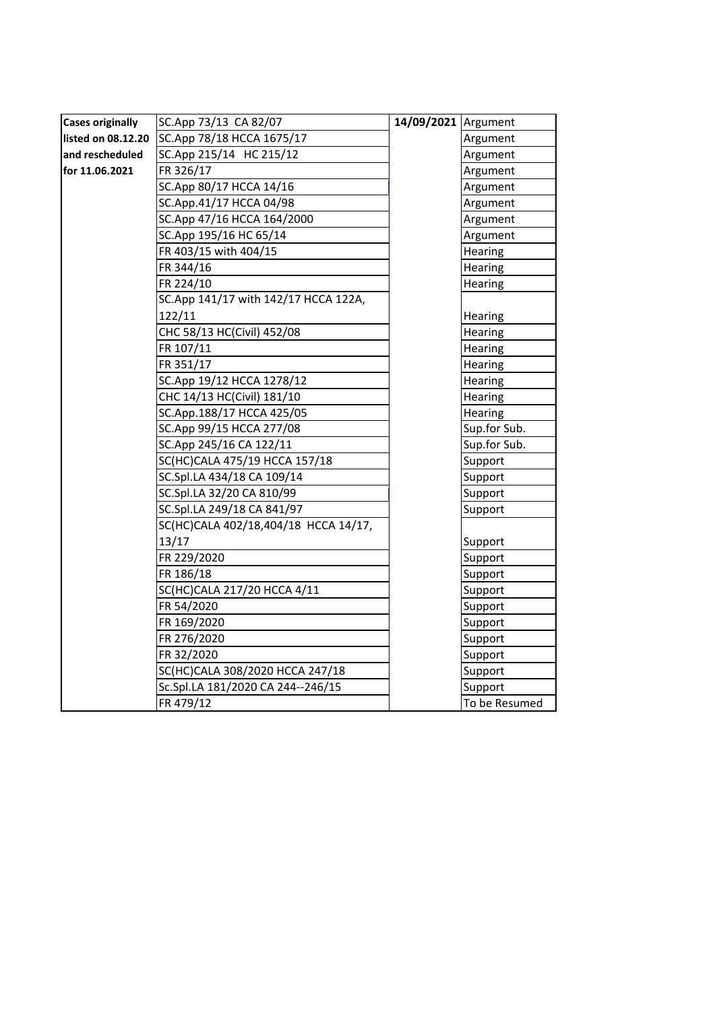| <b>Cases originally</b> | SC.App 73/13 CA 82/07                | 14/09/2021 Argument |               |
|-------------------------|--------------------------------------|---------------------|---------------|
| listed on 08.12.20      | SC.App 78/18 HCCA 1675/17            |                     | Argument      |
| and rescheduled         | SC.App 215/14 HC 215/12              |                     | Argument      |
| for 11.06.2021          | FR 326/17                            |                     | Argument      |
|                         | SC.App 80/17 HCCA 14/16              |                     | Argument      |
|                         | SC.App.41/17 HCCA 04/98              |                     | Argument      |
|                         | SC.App 47/16 HCCA 164/2000           |                     | Argument      |
|                         | SC.App 195/16 HC 65/14               |                     | Argument      |
|                         | FR 403/15 with 404/15                |                     | Hearing       |
|                         | FR 344/16                            |                     | Hearing       |
|                         | FR 224/10                            |                     | Hearing       |
|                         | SC.App 141/17 with 142/17 HCCA 122A, |                     |               |
|                         | 122/11                               |                     | Hearing       |
|                         | CHC 58/13 HC(Civil) 452/08           |                     | Hearing       |
|                         | FR 107/11                            |                     | Hearing       |
|                         | FR 351/17                            |                     | Hearing       |
|                         | SC.App 19/12 HCCA 1278/12            |                     | Hearing       |
|                         | CHC 14/13 HC(Civil) 181/10           |                     | Hearing       |
|                         | SC.App.188/17 HCCA 425/05            |                     | Hearing       |
|                         | SC.App 99/15 HCCA 277/08             |                     | Sup.for Sub.  |
|                         | SC.App 245/16 CA 122/11              |                     | Sup.for Sub.  |
|                         | SC(HC)CALA 475/19 HCCA 157/18        |                     | Support       |
|                         | SC.Spl.LA 434/18 CA 109/14           |                     | Support       |
|                         | SC.Spl.LA 32/20 CA 810/99            |                     | Support       |
|                         | SC.Spl.LA 249/18 CA 841/97           |                     | Support       |
|                         | SC(HC)CALA 402/18,404/18 HCCA 14/17, |                     |               |
|                         | 13/17                                |                     | Support       |
|                         | FR 229/2020                          |                     | Support       |
|                         | FR 186/18                            |                     | Support       |
|                         | SC(HC)CALA 217/20 HCCA 4/11          |                     | Support       |
|                         | FR 54/2020                           |                     | Support       |
|                         | FR 169/2020                          |                     | Support       |
|                         | FR 276/2020                          |                     | Support       |
|                         | FR 32/2020                           |                     | Support       |
|                         | SC(HC)CALA 308/2020 HCCA 247/18      |                     | Support       |
|                         | Sc.Spl.LA 181/2020 CA 244--246/15    |                     | Support       |
|                         | FR 479/12                            |                     | To be Resumed |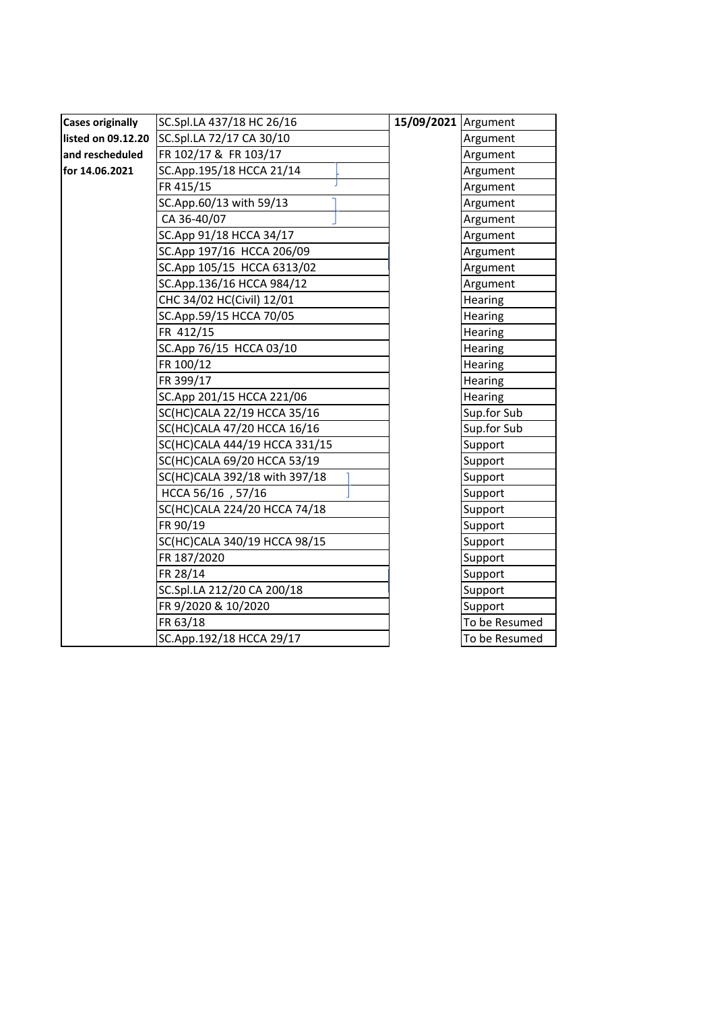| <b>Cases originally</b> | SC.Spl.LA 437/18 HC 26/16     | 15/09/2021   Argument |               |
|-------------------------|-------------------------------|-----------------------|---------------|
| listed on 09.12.20      | SC.Spl.LA 72/17 CA 30/10      |                       | Argument      |
| and rescheduled         | FR 102/17 & FR 103/17         |                       | Argument      |
| for 14.06.2021          | SC.App.195/18 HCCA 21/14      |                       | Argument      |
|                         | FR 415/15                     |                       | Argument      |
|                         | SC.App.60/13 with 59/13       |                       | Argument      |
|                         | CA 36-40/07                   |                       | Argument      |
|                         | SC.App 91/18 HCCA 34/17       |                       | Argument      |
|                         | SC.App 197/16 HCCA 206/09     |                       | Argument      |
|                         | SC.App 105/15 HCCA 6313/02    |                       | Argument      |
|                         | SC.App.136/16 HCCA 984/12     |                       | Argument      |
|                         | CHC 34/02 HC(Civil) 12/01     |                       | Hearing       |
|                         | SC.App.59/15 HCCA 70/05       |                       | Hearing       |
|                         | FR 412/15                     |                       | Hearing       |
|                         | SC.App 76/15 HCCA 03/10       |                       | Hearing       |
|                         | FR 100/12                     |                       | Hearing       |
|                         | FR 399/17                     |                       | Hearing       |
|                         | SC.App 201/15 HCCA 221/06     |                       | Hearing       |
|                         | SC(HC)CALA 22/19 HCCA 35/16   |                       | Sup.for Sub   |
|                         | SC(HC)CALA 47/20 HCCA 16/16   |                       | Sup.for Sub   |
|                         | SC(HC)CALA 444/19 HCCA 331/15 |                       | Support       |
|                         | SC(HC)CALA 69/20 HCCA 53/19   |                       | Support       |
|                         | SC(HC)CALA 392/18 with 397/18 |                       | Support       |
|                         | HCCA 56/16, 57/16             |                       | Support       |
|                         | SC(HC)CALA 224/20 HCCA 74/18  |                       | Support       |
|                         | FR 90/19                      |                       | Support       |
|                         | SC(HC)CALA 340/19 HCCA 98/15  |                       | Support       |
|                         | FR 187/2020                   |                       | Support       |
|                         | FR 28/14                      |                       | Support       |
|                         | SC.Spl.LA 212/20 CA 200/18    |                       | Support       |
|                         | FR 9/2020 & 10/2020           |                       | Support       |
|                         | FR 63/18                      |                       | To be Resumed |
|                         | SC.App.192/18 HCCA 29/17      |                       | To be Resumed |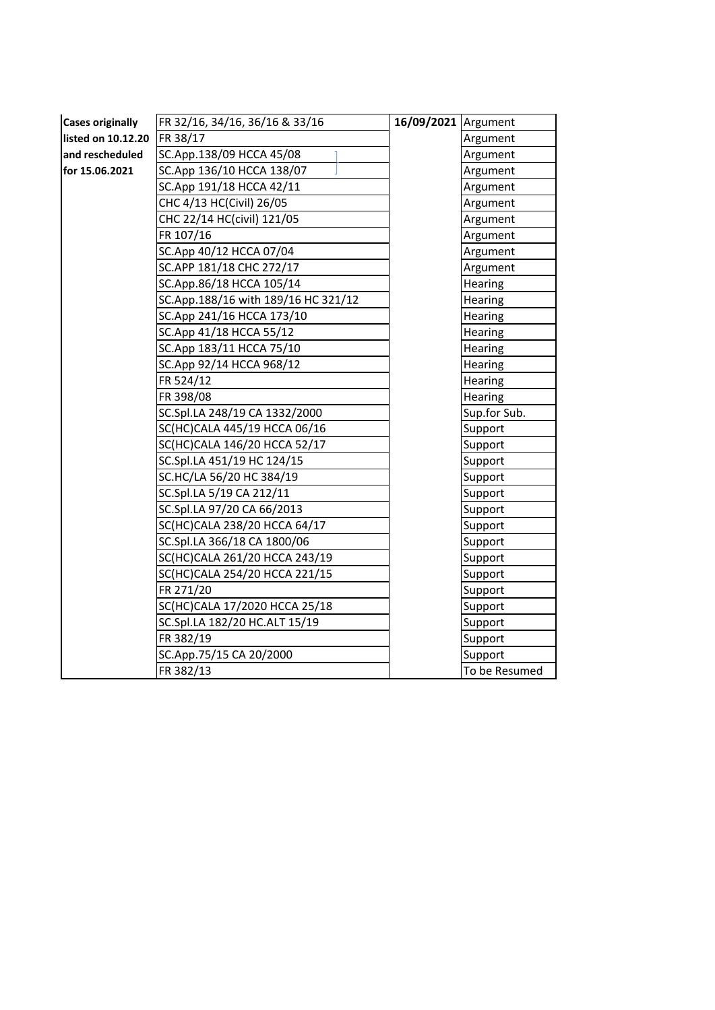| <b>Cases originally</b> | FR 32/16, 34/16, 36/16 & 33/16      | 16/09/2021 Argument |               |
|-------------------------|-------------------------------------|---------------------|---------------|
| listed on 10.12.20      | FR 38/17                            |                     | Argument      |
| and rescheduled         | SC.App.138/09 HCCA 45/08            |                     | Argument      |
| for 15.06.2021          | SC.App 136/10 HCCA 138/07           |                     | Argument      |
|                         | SC.App 191/18 HCCA 42/11            |                     | Argument      |
|                         | CHC 4/13 HC(Civil) 26/05            |                     | Argument      |
|                         | CHC 22/14 HC(civil) 121/05          |                     | Argument      |
|                         | FR 107/16                           |                     | Argument      |
|                         | SC.App 40/12 HCCA 07/04             |                     | Argument      |
|                         | SC.APP 181/18 CHC 272/17            |                     | Argument      |
|                         | SC.App.86/18 HCCA 105/14            |                     | Hearing       |
|                         | SC.App.188/16 with 189/16 HC 321/12 |                     | Hearing       |
|                         | SC.App 241/16 HCCA 173/10           |                     | Hearing       |
|                         | SC.App 41/18 HCCA 55/12             |                     | Hearing       |
|                         | SC.App 183/11 HCCA 75/10            |                     | Hearing       |
|                         | SC.App 92/14 HCCA 968/12            |                     | Hearing       |
|                         | FR 524/12                           |                     | Hearing       |
|                         | FR 398/08                           |                     | Hearing       |
|                         | SC.Spl.LA 248/19 CA 1332/2000       |                     | Sup.for Sub.  |
|                         | SC(HC)CALA 445/19 HCCA 06/16        |                     | Support       |
|                         | SC(HC)CALA 146/20 HCCA 52/17        |                     | Support       |
|                         | SC.Spl.LA 451/19 HC 124/15          |                     | Support       |
|                         | SC.HC/LA 56/20 HC 384/19            |                     | Support       |
|                         | SC.Spl.LA 5/19 CA 212/11            |                     | Support       |
|                         | SC.Spl.LA 97/20 CA 66/2013          |                     | Support       |
|                         | SC(HC)CALA 238/20 HCCA 64/17        |                     | Support       |
|                         | SC.Spl.LA 366/18 CA 1800/06         |                     | Support       |
|                         | SC(HC)CALA 261/20 HCCA 243/19       |                     | Support       |
|                         | SC(HC)CALA 254/20 HCCA 221/15       |                     | Support       |
|                         | FR 271/20                           |                     | Support       |
|                         | SC(HC)CALA 17/2020 HCCA 25/18       |                     | Support       |
|                         | SC.Spl.LA 182/20 HC.ALT 15/19       |                     | Support       |
|                         | FR 382/19                           |                     | Support       |
|                         | SC.App.75/15 CA 20/2000             |                     | Support       |
|                         | FR 382/13                           |                     | To be Resumed |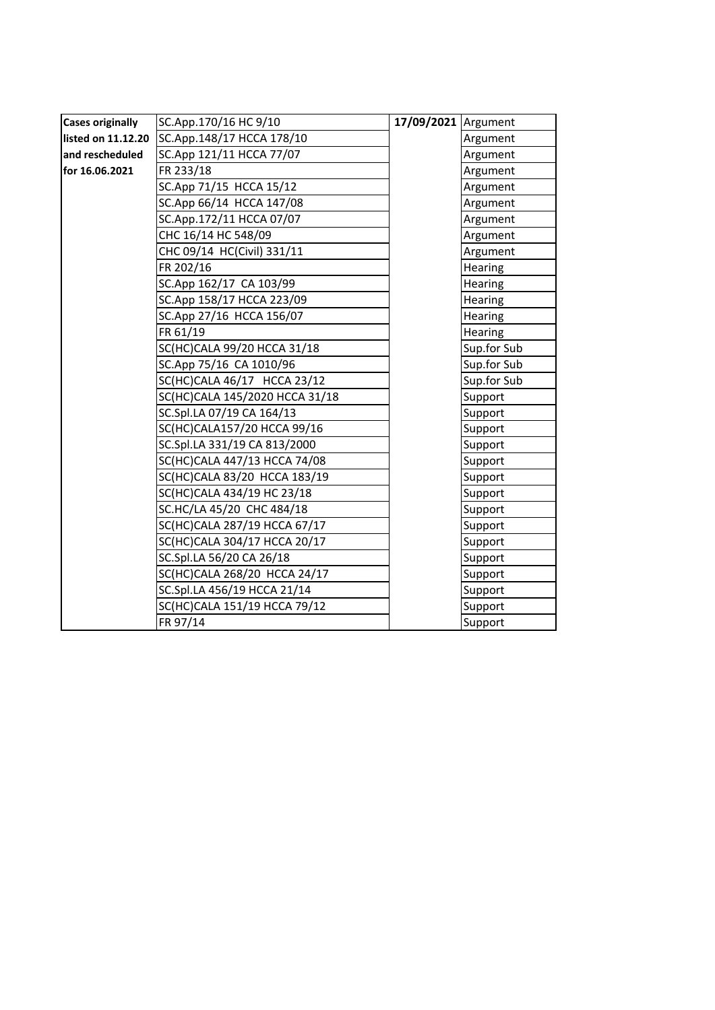| <b>Cases originally</b> | SC.App.170/16 HC 9/10          | 17/09/2021   Argument |             |
|-------------------------|--------------------------------|-----------------------|-------------|
| listed on 11.12.20      | SC.App.148/17 HCCA 178/10      |                       | Argument    |
| and rescheduled         | SC.App 121/11 HCCA 77/07       |                       | Argument    |
| for 16.06.2021          | FR 233/18                      |                       | Argument    |
|                         | SC.App 71/15 HCCA 15/12        |                       | Argument    |
|                         | SC.App 66/14 HCCA 147/08       |                       | Argument    |
|                         | SC.App.172/11 HCCA 07/07       |                       | Argument    |
|                         | CHC 16/14 HC 548/09            |                       | Argument    |
|                         | CHC 09/14 HC(Civil) 331/11     |                       | Argument    |
|                         | FR 202/16                      |                       | Hearing     |
|                         | SC.App 162/17 CA 103/99        |                       | Hearing     |
|                         | SC.App 158/17 HCCA 223/09      |                       | Hearing     |
|                         | SC.App 27/16 HCCA 156/07       |                       | Hearing     |
|                         | FR 61/19                       |                       | Hearing     |
|                         | SC(HC)CALA 99/20 HCCA 31/18    |                       | Sup.for Sub |
|                         | SC.App 75/16 CA 1010/96        |                       | Sup.for Sub |
|                         | SC(HC)CALA 46/17 HCCA 23/12    |                       | Sup.for Sub |
|                         | SC(HC)CALA 145/2020 HCCA 31/18 |                       | Support     |
|                         | SC.Spl.LA 07/19 CA 164/13      |                       | Support     |
|                         | SC(HC)CALA157/20 HCCA 99/16    |                       | Support     |
|                         | SC.Spl.LA 331/19 CA 813/2000   |                       | Support     |
|                         | SC(HC)CALA 447/13 HCCA 74/08   |                       | Support     |
|                         | SC(HC)CALA 83/20 HCCA 183/19   |                       | Support     |
|                         | SC(HC)CALA 434/19 HC 23/18     |                       | Support     |
|                         | SC.HC/LA 45/20 CHC 484/18      |                       | Support     |
|                         | SC(HC)CALA 287/19 HCCA 67/17   |                       | Support     |
|                         | SC(HC)CALA 304/17 HCCA 20/17   |                       | Support     |
|                         | SC.Spl.LA 56/20 CA 26/18       |                       | Support     |
|                         | SC(HC)CALA 268/20 HCCA 24/17   |                       | Support     |
|                         | SC.Spl.LA 456/19 HCCA 21/14    |                       | Support     |
|                         | SC(HC)CALA 151/19 HCCA 79/12   |                       | Support     |
|                         | FR 97/14                       |                       | Support     |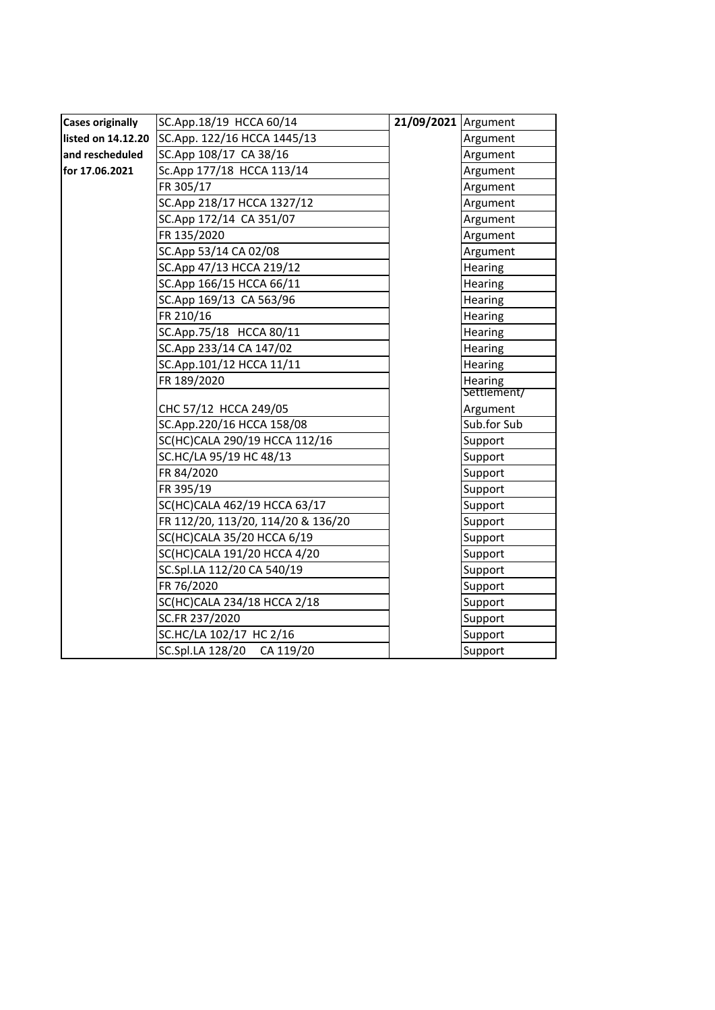| <b>Cases originally</b> | SC.App.18/19 HCCA 60/14            | 21/09/2021 Argument |                |
|-------------------------|------------------------------------|---------------------|----------------|
| listed on 14.12.20      | SC.App. 122/16 HCCA 1445/13        |                     | Argument       |
| and rescheduled         | SC.App 108/17 CA 38/16             |                     | Argument       |
| for 17.06.2021          | Sc.App 177/18 HCCA 113/14          |                     | Argument       |
|                         | FR 305/17                          |                     | Argument       |
|                         | SC.App 218/17 HCCA 1327/12         |                     | Argument       |
|                         | SC.App 172/14 CA 351/07            |                     | Argument       |
|                         | FR 135/2020                        |                     | Argument       |
|                         | SC.App 53/14 CA 02/08              |                     | Argument       |
|                         | SC.App 47/13 HCCA 219/12           |                     | Hearing        |
|                         | SC.App 166/15 HCCA 66/11           |                     | Hearing        |
|                         | SC.App 169/13 CA 563/96            |                     | Hearing        |
|                         | FR 210/16                          |                     | Hearing        |
|                         | SC.App.75/18 HCCA 80/11            |                     | Hearing        |
|                         | SC.App 233/14 CA 147/02            |                     | Hearing        |
|                         | SC.App.101/12 HCCA 11/11           |                     | <b>Hearing</b> |
|                         | FR 189/2020                        |                     | Hearing        |
|                         |                                    |                     | Settlement/    |
|                         | CHC 57/12 HCCA 249/05              |                     | Argument       |
|                         | SC.App.220/16 HCCA 158/08          |                     | Sub.for Sub    |
|                         | SC(HC)CALA 290/19 HCCA 112/16      |                     | Support        |
|                         | SC.HC/LA 95/19 HC 48/13            |                     | Support        |
|                         | FR 84/2020                         |                     | Support        |
|                         | FR 395/19                          |                     | Support        |
|                         | SC(HC)CALA 462/19 HCCA 63/17       |                     | Support        |
|                         | FR 112/20, 113/20, 114/20 & 136/20 |                     | Support        |
|                         | SC(HC)CALA 35/20 HCCA 6/19         |                     | Support        |
|                         | SC(HC)CALA 191/20 HCCA 4/20        |                     | Support        |
|                         | SC.Spl.LA 112/20 CA 540/19         |                     | Support        |
|                         | FR 76/2020                         |                     | Support        |
|                         | SC(HC)CALA 234/18 HCCA 2/18        |                     | Support        |
|                         | SC.FR 237/2020                     |                     | Support        |
|                         | SC.HC/LA 102/17 HC 2/16            |                     | Support        |
|                         | SC.Spl.LA 128/20 CA 119/20         |                     | Support        |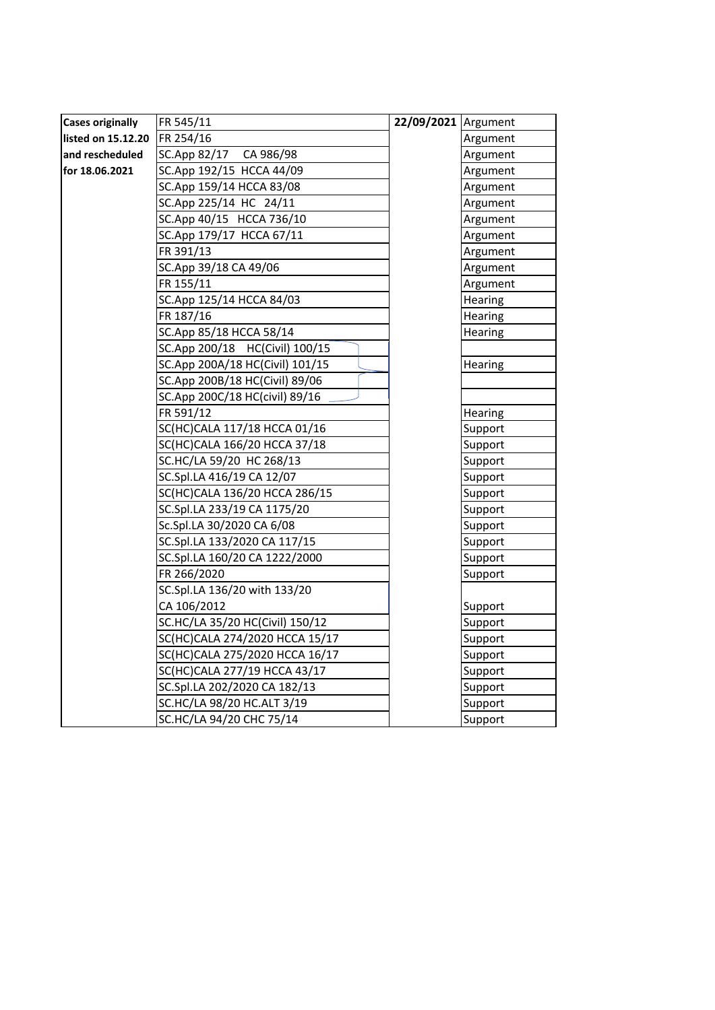|                         | FR 545/11                       | 22/09/2021 Argument |                |
|-------------------------|---------------------------------|---------------------|----------------|
| <b>Cases originally</b> |                                 |                     |                |
| listed on 15.12.20      | FR 254/16                       |                     | Argument       |
| and rescheduled         | SC.App 82/17 CA 986/98          |                     | Argument       |
| for 18.06.2021          | SC.App 192/15 HCCA 44/09        |                     | Argument       |
|                         | SC.App 159/14 HCCA 83/08        |                     | Argument       |
|                         | SC.App 225/14 HC 24/11          |                     | Argument       |
|                         | SC.App 40/15 HCCA 736/10        |                     | Argument       |
|                         | SC.App 179/17 HCCA 67/11        |                     | Argument       |
|                         | FR 391/13                       |                     | Argument       |
|                         | SC.App 39/18 CA 49/06           |                     | Argument       |
|                         | FR 155/11                       |                     | Argument       |
|                         | SC.App 125/14 HCCA 84/03        |                     | Hearing        |
|                         | FR 187/16                       |                     | <b>Hearing</b> |
|                         | SC.App 85/18 HCCA 58/14         |                     | <b>Hearing</b> |
|                         | SC.App 200/18 HC(Civil) 100/15  |                     |                |
|                         | SC.App 200A/18 HC(Civil) 101/15 |                     | Hearing        |
|                         | SC.App 200B/18 HC(Civil) 89/06  |                     |                |
|                         | SC.App 200C/18 HC(civil) 89/16  |                     |                |
|                         | FR 591/12                       |                     | Hearing        |
|                         | SC(HC)CALA 117/18 HCCA 01/16    |                     | Support        |
|                         | SC(HC)CALA 166/20 HCCA 37/18    |                     | Support        |
|                         | SC.HC/LA 59/20 HC 268/13        |                     | Support        |
|                         | SC.Spl.LA 416/19 CA 12/07       |                     | Support        |
|                         | SC(HC)CALA 136/20 HCCA 286/15   |                     | Support        |
|                         | SC.Spl.LA 233/19 CA 1175/20     |                     | Support        |
|                         | Sc.Spl.LA 30/2020 CA 6/08       |                     | Support        |
|                         | SC.Spl.LA 133/2020 CA 117/15    |                     | Support        |
|                         | SC.Spl.LA 160/20 CA 1222/2000   |                     | Support        |
|                         | FR 266/2020                     |                     | Support        |
|                         | SC.Spl.LA 136/20 with 133/20    |                     |                |
|                         | CA 106/2012                     |                     | Support        |
|                         | SC.HC/LA 35/20 HC(Civil) 150/12 |                     | Support        |
|                         | SC(HC)CALA 274/2020 HCCA 15/17  |                     | Support        |
|                         | SC(HC)CALA 275/2020 HCCA 16/17  |                     | Support        |
|                         | SC(HC)CALA 277/19 HCCA 43/17    |                     | Support        |
|                         | SC.Spl.LA 202/2020 CA 182/13    |                     | Support        |
|                         | SC.HC/LA 98/20 HC.ALT 3/19      |                     | Support        |
|                         | SC.HC/LA 94/20 CHC 75/14        |                     | Support        |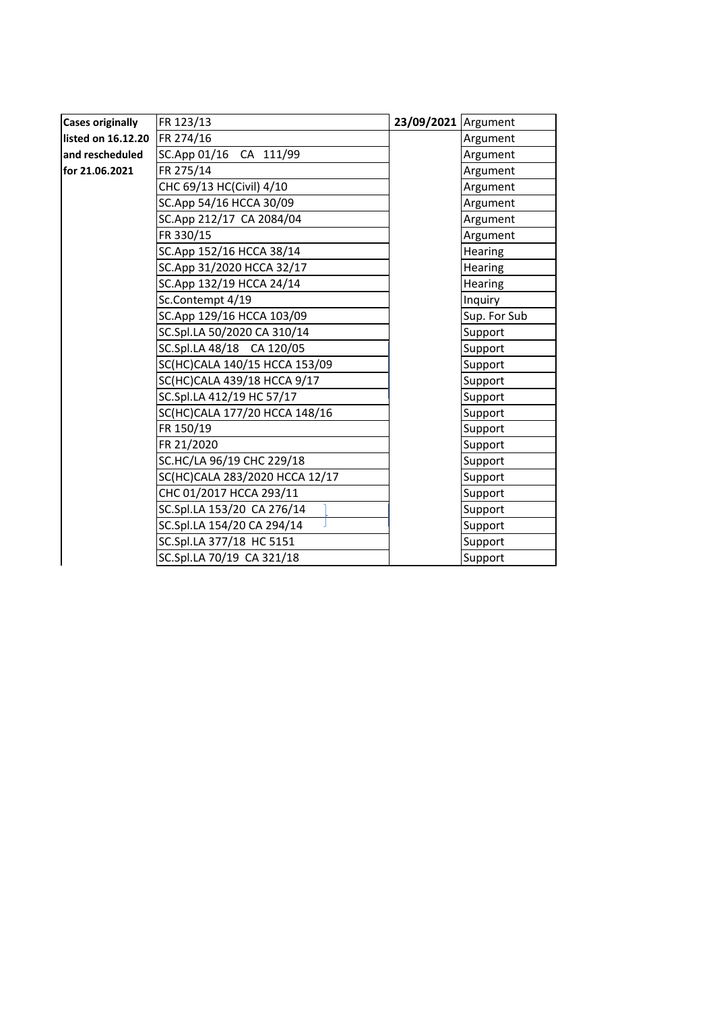| <b>Cases originally</b> | FR 123/13                      | 23/09/2021 Argument |                |
|-------------------------|--------------------------------|---------------------|----------------|
| listed on 16.12.20      | FR 274/16                      |                     | Argument       |
| and rescheduled         | SC.App 01/16 CA 111/99         |                     | Argument       |
| for 21.06.2021          | FR 275/14                      |                     | Argument       |
|                         | CHC 69/13 HC(Civil) 4/10       |                     | Argument       |
|                         | SC.App 54/16 HCCA 30/09        |                     | Argument       |
|                         | SC.App 212/17 CA 2084/04       |                     | Argument       |
|                         | FR 330/15                      |                     | Argument       |
|                         | SC.App 152/16 HCCA 38/14       |                     | Hearing        |
|                         | SC.App 31/2020 HCCA 32/17      |                     | <b>Hearing</b> |
|                         | SC.App 132/19 HCCA 24/14       |                     | <b>Hearing</b> |
|                         | Sc.Contempt 4/19               |                     | Inquiry        |
|                         | SC.App 129/16 HCCA 103/09      |                     | Sup. For Sub   |
|                         | SC.Spl.LA 50/2020 CA 310/14    |                     | Support        |
|                         | SC.Spl.LA 48/18 CA 120/05      |                     | Support        |
|                         | SC(HC)CALA 140/15 HCCA 153/09  |                     | Support        |
|                         | SC(HC)CALA 439/18 HCCA 9/17    |                     | Support        |
|                         | SC.Spl.LA 412/19 HC 57/17      |                     | Support        |
|                         | SC(HC)CALA 177/20 HCCA 148/16  |                     | Support        |
|                         | FR 150/19                      |                     | Support        |
|                         | FR 21/2020                     |                     | Support        |
|                         | SC.HC/LA 96/19 CHC 229/18      |                     | Support        |
|                         | SC(HC)CALA 283/2020 HCCA 12/17 |                     | Support        |
|                         | CHC 01/2017 HCCA 293/11        |                     | Support        |
|                         | SC.Spl.LA 153/20 CA 276/14     |                     | Support        |
|                         | SC.Spl.LA 154/20 CA 294/14     |                     | Support        |
|                         | SC.Spl.LA 377/18 HC 5151       |                     | Support        |
|                         | SC.Spl.LA 70/19 CA 321/18      |                     | Support        |